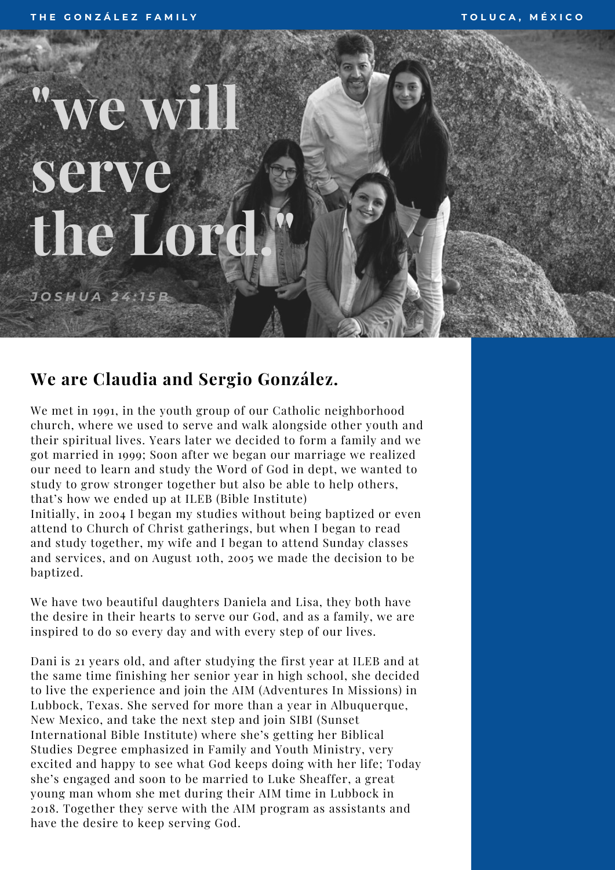## **"we will serve the Lord.**

*J O S H U A 2 4 : 1 5 B*

## **We are Claudia and Sergio González.**

We met in 1991, in the youth group of our Catholic neighborhood church, where we used to serve and walk alongside other youth and their spiritual lives. Years later we decided to form a family and we got married in 1999; Soon after we began our marriage we realized our need to learn and study the Word of God in dept, we wanted to study to grow stronger together but also be able to help others, that's how we ended up at ILEB (Bible Institute)

**"**

Initially, in 2004 I began my studies without being baptized or even attend to Church of Christ gatherings, but when I began to read and study together, my wife and I began to attend Sunday classes and services, and on August 10th, 2005 we made the decision to be baptized.

We have two beautiful daughters Daniela and Lisa, they both have the desire in their hearts to serve our God, and as a family, we are inspired to do so every day and with every step of our lives.

Dani is 21 years old, and after studying the first year at ILEB and at the same time finishing her senior year in high school, she decided to live the experience and join the AIM (Adventures In Missions) in Lubbock, Texas. She served for more than a year in Albuquerque, New Mexico, and take the next step and join SIBI (Sunset International Bible Institute) where she's getting her Biblical Studies Degree emphasized in Family and Youth Ministry, very excited and happy to see what God keeps doing with her life; Today she's engaged and soon to be married to Luke Sheaffer, a great young man whom she met during their AIM time in Lubbock in 2018. Together they serve with the AIM program as assistants and have the desire to keep serving God.